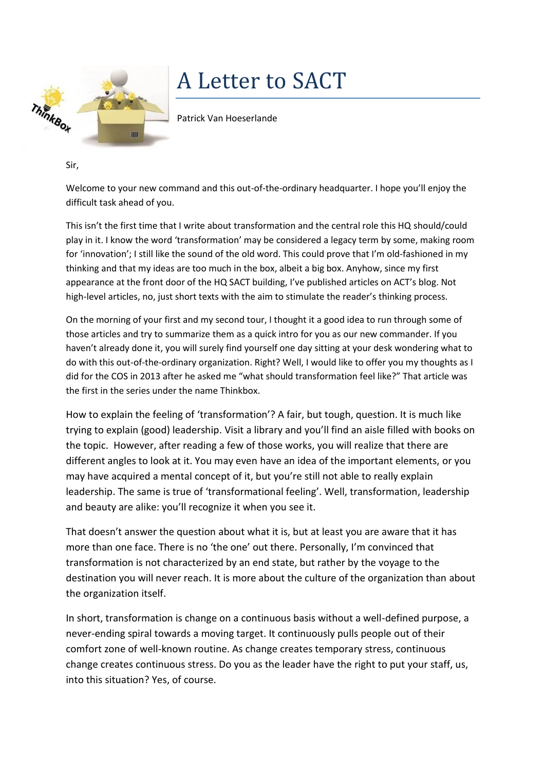

## A Letter to SACT

Patrick Van Hoeserlande

Sir,

Welcome to your new command and this out-of-the-ordinary headquarter. I hope you'll enjoy the difficult task ahead of you.

This isn't the first time that I write about transformation and the central role this HQ should/could play in it. I know the word 'transformation' may be considered a legacy term by some, making room for 'innovation'; I still like the sound of the old word. This could prove that I'm old-fashioned in my thinking and that my ideas are too much in the box, albeit a big box. Anyhow, since my first appearance at the front door of the HQ SACT building, I've published articles on ACT's blog. Not high-level articles, no, just short texts with the aim to stimulate the reader's thinking process.

On the morning of your first and my second tour, I thought it a good idea to run through some of those articles and try to summarize them as a quick intro for you as our new commander. If you haven't already done it, you will surely find yourself one day sitting at your desk wondering what to do with this out-of-the-ordinary organization. Right? Well, I would like to offer you my thoughts as I did for the COS in 2013 after he asked me "what should transformation feel like?" That article was the first in the series under the name Thinkbox.

How to explain the feeling of 'transformation'? A fair, but tough, question. It is much like trying to explain (good) leadership. Visit a library and you'll find an aisle filled with books on the topic. However, after reading a few of those works, you will realize that there are different angles to look at it. You may even have an idea of the important elements, or you may have acquired a mental concept of it, but you're still not able to really explain leadership. The same is true of 'transformational feeling'. Well, transformation, leadership and beauty are alike: you'll recognize it when you see it.

That doesn't answer the question about what it is, but at least you are aware that it has more than one face. There is no 'the one' out there. Personally, I'm convinced that transformation is not characterized by an end state, but rather by the voyage to the destination you will never reach. It is more about the culture of the organization than about the organization itself.

In short, transformation is change on a continuous basis without a well-defined purpose, a never-ending spiral towards a moving target. It continuously pulls people out of their comfort zone of well-known routine. As change creates temporary stress, continuous change creates continuous stress. Do you as the leader have the right to put your staff, us, into this situation? Yes, of course.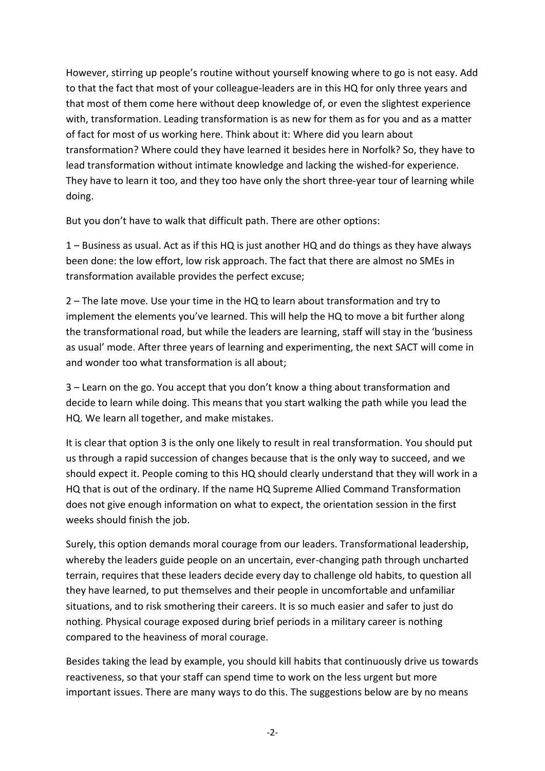However, stirring up people's routine without yourself knowing where to go is not easy. Add to that the fact that most of your colleague-leaders are in this HQ for only three years and that most of them come here without deep knowledge of, or even the slightest experience with, transformation. Leading transformation is as new for them as for you and as a matter of fact for most of us working here. Think about it: Where did you learn about transformation? Where could they have learned it besides here in Norfolk? So, they have to lead transformation without intimate knowledge and lacking the wished-for experience. They have to learn it too, and they too have only the short three-year tour of learning while doing.

But you don't have to walk that difficult path. There are other options:

1 – Business as usual. Act as if this HQ is just another HQ and do things as they have always been done: the low effort, low risk approach. The fact that there are almost no SMEs in transformation available provides the perfect excuse;

2 – The late move. Use your time in the HQ to learn about transformation and try to implement the elements you've learned. This will help the HQ to move a bit further along the transformational road, but while the leaders are learning, staff will stay in the 'business as usual' mode. After three years of learning and experimenting, the next SACT will come in and wonder too what transformation is all about;

3 – Learn on the go. You accept that you don't know a thing about transformation and decide to learn while doing. This means that you start walking the path while you lead the HQ. We learn all together, and make mistakes.

It is clear that option 3 is the only one likely to result in real transformation. You should put us through a rapid succession of changes because that is the only way to succeed, and we should expect it. People coming to this HQ should clearly understand that they will work in a HQ that is out of the ordinary. If the name HQ Supreme Allied Command Transformation does not give enough information on what to expect, the orientation session in the first weeks should finish the job.

Surely, this option demands moral courage from our leaders. Transformational leadership, whereby the leaders guide people on an uncertain, ever-changing path through uncharted terrain, requires that these leaders decide every day to challenge old habits, to question all they have learned, to put themselves and their people in uncomfortable and unfamiliar situations, and to risk smothering their careers. It is so much easier and safer to just do nothing. Physical courage exposed during brief periods in a military career is nothing compared to the heaviness of moral courage.

Besides taking the lead by example, you should kill habits that continuously drive us towards reactiveness, so that your staff can spend time to work on the less urgent but more important issues. There are many ways to do this. The suggestions below are by no means